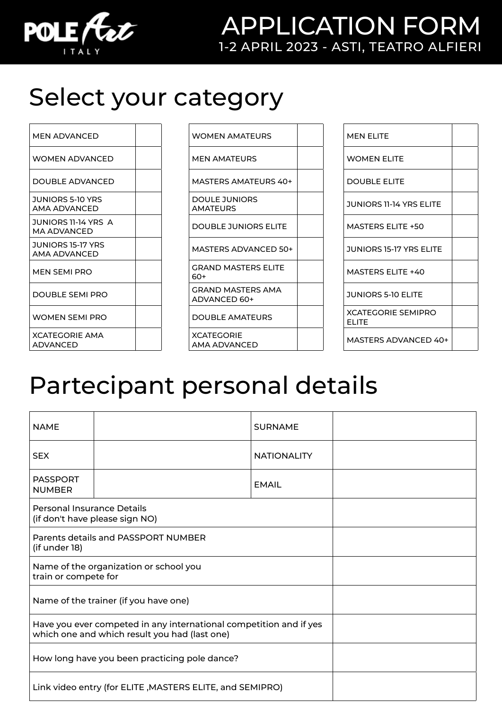

### APPLICATION FORM 1-2 APRIL 2023 - ASTI, TEATRO ALFIERI

# Select your category

| <b>MEN ADVANCED</b>                |  |
|------------------------------------|--|
| WOMEN ADVANCED                     |  |
| DOUBLE ADVANCED                    |  |
| JUNIORS 5-10 YRS<br>AMA ADVANCED   |  |
| JUNIORS 11-14 YRS A<br>MA ADVANCED |  |
| JUNIORS 15-17 YRS<br>AMA ADVANCED  |  |
| MEN SEMI PRO                       |  |
| <b>DOUBLE SEMI PRO</b>             |  |
| <b>WOMEN SEMI PRO</b>              |  |
| <b>XCATEGORIE AMA</b>              |  |

ADVANCED

| WOMEN AMATEURS |
|----------------|
|                |

MEN AMATEURS

MASTERS AMATEURS 40+

DOULE JUNIORS AMATEURS

DOUBLE JUNIORS ELITE

MASTERS ADVANCED 50+

GRAND MASTERS ELITE

60+ GRAND MASTERS AMA

ADVANCED 60+

DOUBLE AMATEURS

**XCATEGORIE** AMA ADVANCED

| MEN ELITE                          |  |
|------------------------------------|--|
| <b>WOMEN ELITE</b>                 |  |
| <b>DOUBLE ELITE</b>                |  |
| <b>JUNIORS 11-14 YRS ELITE</b>     |  |
| <b>MASTERS ELITE +50</b>           |  |
| JUNIORS 15-17 YRS ELITE            |  |
| <b>MASTERS FLITE +40</b>           |  |
| <b>JUNIORS 5-10 ELITE</b>          |  |
| <b>XCATEGORIE SEMIPRO</b><br>FLITF |  |
| <b>MASTERS ADVANCED 40+</b>        |  |

## Partecipant personal details

| <b>NAME</b>                                                                                                         |  | <b>SURNAME</b>     |  |
|---------------------------------------------------------------------------------------------------------------------|--|--------------------|--|
| <b>SEX</b>                                                                                                          |  | <b>NATIONALITY</b> |  |
| <b>PASSPORT</b><br><b>NUMBER</b>                                                                                    |  | <b>EMAIL</b>       |  |
| <b>Personal Insurance Details</b><br>(if don't have please sign NO)                                                 |  |                    |  |
| Parents details and PASSPORT NUMBER<br>(if under 18)                                                                |  |                    |  |
| Name of the organization or school you<br>train or compete for                                                      |  |                    |  |
| Name of the trainer (if you have one)                                                                               |  |                    |  |
| Have you ever competed in any international competition and if yes<br>which one and which result you had (last one) |  |                    |  |
| How long have you been practicing pole dance?                                                                       |  |                    |  |
| Link video entry (for ELITE, MASTERS ELITE, and SEMIPRO)                                                            |  |                    |  |